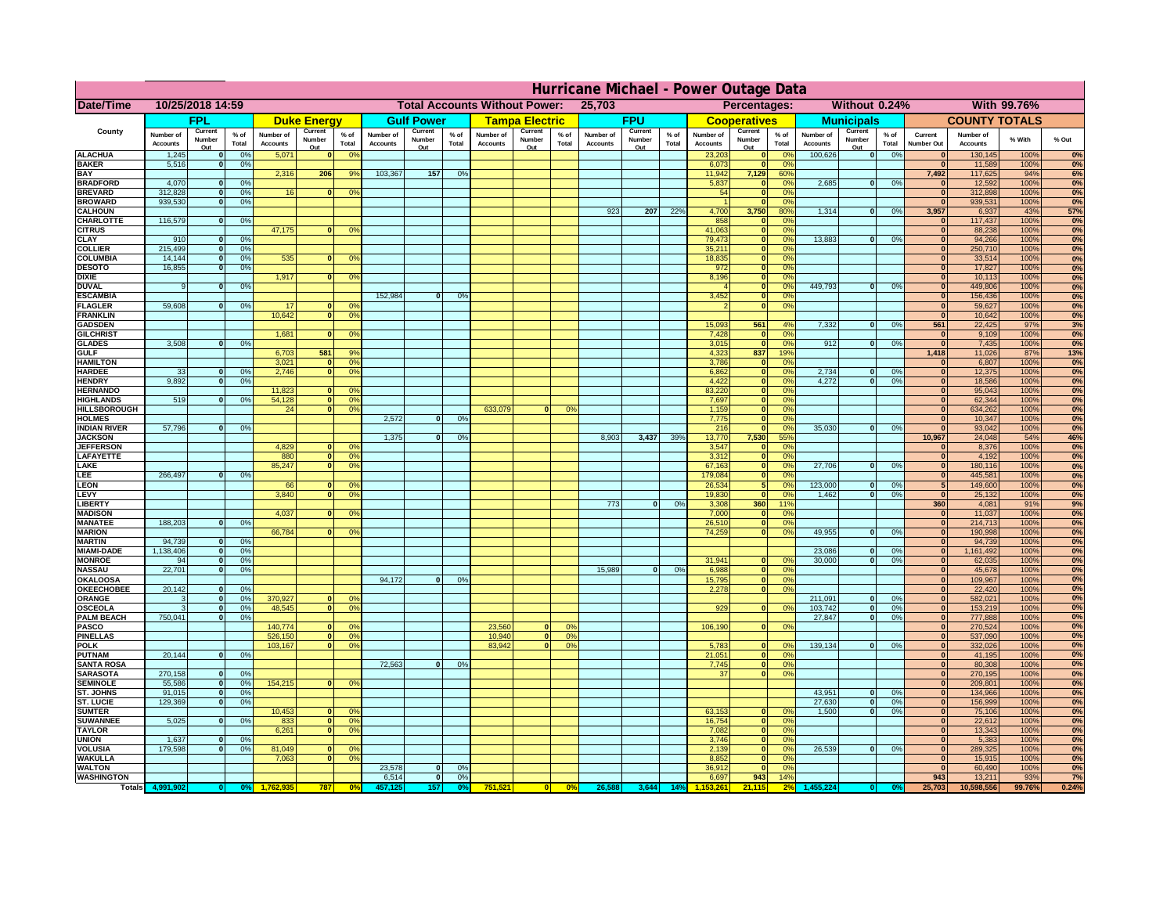|                                       | Hurricane Michael - Power Outage Data |                              |                      |                              |                       |                                                |                              |                    |                |                              |                                              |                 |                              |                   |                 |                              |                                  |                      |                              |                               |                 |                              |                              |              |           |
|---------------------------------------|---------------------------------------|------------------------------|----------------------|------------------------------|-----------------------|------------------------------------------------|------------------------------|--------------------|----------------|------------------------------|----------------------------------------------|-----------------|------------------------------|-------------------|-----------------|------------------------------|----------------------------------|----------------------|------------------------------|-------------------------------|-----------------|------------------------------|------------------------------|--------------|-----------|
| Date/Time                             | 10/25/2018 14:59                      |                              |                      |                              |                       | <b>Total Accounts Without Power:</b><br>25,703 |                              |                    |                |                              | Without 0.24%<br>With 99.76%<br>Percentages: |                 |                              |                   |                 |                              |                                  |                      |                              |                               |                 |                              |                              |              |           |
|                                       |                                       | FPL                          |                      |                              | <b>Duke Energy</b>    |                                                |                              | <b>Gulf Power</b>  |                |                              | <b>Tampa Electric</b>                        |                 |                              | <b>FPU</b>        |                 |                              | <b>Cooperatives</b>              |                      |                              | <b>Municipals</b>             |                 |                              | <b>COUNTY TOTALS</b>         |              |           |
| County                                | Number of<br><b>Accounts</b>          | Current<br>Number            | $%$ of<br>Total      | Number of<br><b>Accounts</b> | Current<br>Number     | $%$ of<br>Total                                | Number of<br><b>Accounts</b> | Current<br>Number  | % of<br>Total  | Number of<br><b>Accounts</b> | Current<br>Number                            | $%$ of<br>Total | Number of<br><b>Accounts</b> | Current<br>Number | $%$ of<br>Total | Number of<br><b>Accounts</b> | Current<br>Number                | $%$ of<br>Total      | Number of<br><b>Accounts</b> | Current<br>Number             | $%$ of<br>Total | Current<br><b>Number Out</b> | Number of<br><b>Accounts</b> | % With       | % Out     |
| <b>ALACHUA</b>                        | 1,245                                 | Out<br>$\mathbf{0}$          | 0%                   | 5,071                        | Out<br>$\bf{0}$       | 0 <sup>9</sup>                                 |                              | Out                |                |                              | Out                                          |                 |                              | Out               |                 | 23,203                       | Out<br> 0                        | 0 <sup>9</sup>       | 100,626                      | Out<br> 0                     | 0%              | $\bf{0}$                     | 130,145                      | 100%         | 0%        |
| <b>BAKER</b>                          | 5,516                                 | 0                            | 0%                   |                              |                       |                                                | 103,367                      |                    |                |                              |                                              |                 |                              |                   |                 | 6,073                        | 0                                | 0%                   |                              |                               |                 | $\overline{0}$               | 11,589                       | 100%<br>94%  | 0%        |
| <b>BAY</b><br><b>BRADFORD</b>         | 4,070                                 | $\mathbf{0}$                 | 0%                   | 2,316                        | 206                   | 9%                                             |                              | 157                | 0%             |                              |                                              |                 |                              |                   |                 | 11,942<br>5,837              | 7,129<br> 0                      | 60%<br>0%            | 2,685                        | 0                             | 0%              | 7,492<br>$\bf{0}$            | 117,625<br>12,592            | 100%         | 6%<br>0%  |
| <b>BREVARD</b>                        | 312,828                               | 0                            | 0%                   | 16                           | 0                     | 0 <sup>o</sup>                                 |                              |                    |                |                              |                                              |                 |                              |                   |                 | 54                           | 0                                | 0%                   |                              |                               |                 | 0                            | 312,898                      | 100%         | 0%        |
| <b>BROWARD</b><br><b>CALHOUN</b>      | 939.530                               | 0                            | 0%                   |                              |                       |                                                |                              |                    |                |                              |                                              |                 | 923                          | 207               | 22%             | 4,700                        | 0 <br>3,750                      | 0%<br>80%            | 1,314                        | 0                             | 0%              | $\bf{0}$<br>3,957            | 939,531<br>6,937             | 100%<br>43%  | 0%<br>57% |
| CHARLOTTE                             | 116,579                               | 0                            | 0%                   |                              |                       |                                                |                              |                    |                |                              |                                              |                 |                              |                   |                 | 858                          | 0                                | 0 <sup>9</sup>       |                              |                               |                 | $\bf{0}$                     | 117,437                      | 100%         | 0%        |
| <b>CITRUS</b>                         |                                       |                              |                      | 47,175                       | $\mathbf{0}$          | 0 <sup>o</sup>                                 |                              |                    |                |                              |                                              |                 |                              |                   |                 | 41,063                       | 0                                | 0 <sup>9</sup>       |                              |                               |                 | $\bf{0}$                     | 88,238                       | 100%         | 0%        |
| <b>CLAY</b><br><b>COLLIER</b>         | 910<br>215,499                        | $\mathbf{0}$<br>$\mathbf{0}$ | 0%<br>0 <sup>9</sup> |                              |                       |                                                |                              |                    |                |                              |                                              |                 |                              |                   |                 | 79,473<br>35,211             | 0 <br> 0                         | 0 <sup>9</sup><br>0% | 13,883                       | $\mathbf{0}$                  | 0%              | $\bf{0}$<br>$\bf{0}$         | 94,266<br>250,710            | 100%<br>100% | 0%<br>0%  |
| <b>COLUMBIA</b>                       | 14,144                                | $\mathbf 0$                  | 0%                   | 535                          | $\mathbf{0}$          | 0 <sup>9</sup>                                 |                              |                    |                |                              |                                              |                 |                              |                   |                 | 18,835                       | 0                                | 0%                   |                              |                               |                 | $\bf{0}$                     | 33,514                       | 100%         | 0%        |
| <b>DESOTO</b>                         | 16,855                                | $\mathbf{0}$                 | 0%                   |                              |                       |                                                |                              |                    |                |                              |                                              |                 |                              |                   |                 | 972                          | 0                                | 0%                   |                              |                               |                 | $\bf{0}$                     | 17,827                       | 100%         | 0%        |
| <b>DIXIE</b><br><b>DUVAL</b>          | 9                                     | $\Omega$                     | 0%                   | 1,917                        | $\Omega$              | 0 <sup>9</sup>                                 |                              |                    |                |                              |                                              |                 |                              |                   |                 | 8,196                        | 0 <br> 0                         | 0%<br>0%             | 449.793                      | $\overline{0}$                | 0%              | $\Omega$<br>$\Omega$         | 10,113<br>449,806            | 100%<br>100% | 0%<br>0%  |
| <b>ESCAMBIA</b>                       |                                       |                              |                      |                              |                       |                                                | 152,984                      | $\mathbf{0}$       | 0 <sup>9</sup> |                              |                                              |                 |                              |                   |                 | 3,452                        | 0                                | 0%                   |                              |                               |                 | $\Omega$                     | 156,436                      | 100%         | 0%        |
| <b>FLAGLER</b>                        | 59,608                                | $\overline{0}$               | 0%                   | 17                           | $\bf{0}$              | 0 <sup>o</sup>                                 |                              |                    |                |                              |                                              |                 |                              |                   |                 |                              | 0                                | 0%                   |                              |                               |                 | $\mathbf{0}$                 | 59,627                       | 100%         | 0%        |
| <b>FRANKLIN</b><br><b>GADSDEN</b>     |                                       |                              |                      | 10,642                       | 0                     | 0 <sup>9</sup>                                 |                              |                    |                |                              |                                              |                 |                              |                   |                 | 15,093                       | 561                              | 4%                   | 7,332                        | 0                             | 0%              | $\Omega$<br>561              | 10,642<br>22,425             | 100%<br>97%  | 0%<br>3%  |
| <b>GILCHRIST</b>                      |                                       |                              |                      | 1,681                        | $\Omega$              | 0 <sup>9</sup>                                 |                              |                    |                |                              |                                              |                 |                              |                   |                 | 7,428                        | 0                                | 0%                   |                              |                               |                 | $\overline{\mathbf{0}}$      | 9,109                        | 100%         | 0%        |
| <b>GLADES</b>                         | 3,508                                 | 0                            | 0%                   |                              |                       |                                                |                              |                    |                |                              |                                              |                 |                              |                   |                 | 3,015                        | 0                                | 0%                   | 912                          | $\overline{0}$                | 0%              | 0                            | 7,435                        | 100%         | 0%        |
| <b>GULF</b><br><b>HAMILTON</b>        |                                       |                              |                      | 6,703<br>3,021               | 581<br>$\overline{0}$ | 9%<br>0 <sup>9</sup>                           |                              |                    |                |                              |                                              |                 |                              |                   |                 | 4,323<br>3,786               | 837<br> 0                        | 19%<br>0%            |                              |                               |                 | 1,418<br> 0                  | 11,026<br>6,807              | 87%<br>100%  | 13%<br>0% |
| <b>HARDEE</b>                         | 33                                    | $\overline{0}$               | 0%                   | 2.746                        |                       | $\overline{0}$<br>0 <sup>9</sup>               |                              |                    |                |                              |                                              |                 |                              |                   |                 | 6.862                        | $\overline{0}$                   | 0%                   | 2.734                        | $\mathbf{0}$                  | 0%              | 0                            | 12,375                       | 100%         | 0%        |
| <b>HENDRY</b>                         | 9.892                                 | $\overline{0}$               | 0%                   |                              |                       |                                                |                              |                    |                |                              |                                              |                 |                              |                   |                 | 4.422                        | 0                                | 0%                   | 4.272                        | $\overline{0}$                | 0%              | 0                            | 18,586                       | 100%         | 0%        |
| <b>HERNANDO</b><br><b>HIGHLANDS</b>   | 519                                   | 0                            | 0 <sup>9</sup>       | 11,823<br>54,128             | $\Omega$<br> 0        | 0 <sup>o</sup><br>0 <sup>9</sup>               |                              |                    |                |                              |                                              |                 |                              |                   |                 | 83,220<br>7,697              | $\overline{0}$<br>$\overline{0}$ | 0%<br>0%             |                              |                               |                 | 0 <br> 0                     | 95,043<br>62,344             | 100%<br>100% | 0%<br>0%  |
| <b>HILLSBOROUGH</b>                   |                                       |                              |                      | 24                           | $\overline{0}$        | 0 <sup>9</sup>                                 |                              |                    |                | 633,079                      |                                              | 0%              |                              |                   |                 | 1,159                        | $\overline{0}$                   | 0%                   |                              |                               |                 | 0                            | 634,262                      | 100%         | 0%        |
| <b>HOLMES</b>                         |                                       |                              |                      |                              |                       |                                                | 2.572                        | $\Omega$           | 0%             |                              |                                              |                 |                              |                   |                 | 7,775                        | $\overline{0}$                   | 0%                   |                              |                               |                 | 0                            | 10,347                       | 100%         | 0%        |
| <b>INDIAN RIVER</b><br><b>JACKSON</b> | 57,796                                | 0                            | 0%                   |                              |                       |                                                | 1,375                        | $\mathbf{0}$       | 0%             |                              |                                              |                 | 8,903                        | 3,437             | 39%             | 216<br>13,770                | $\overline{0}$<br>7,530          | 0%<br>55%            | 35,030                       | $\mathbf{0}$                  | 0%              | 0 <br>10,967                 | 93,042<br>24,048             | 100%<br>54%  | 0%<br>46% |
| <b>JEFFERSOI</b>                      |                                       |                              |                      | 4,829                        | $\Omega$              | $^{\circ}$                                     |                              |                    |                |                              |                                              |                 |                              |                   |                 | 3,547                        | 0                                | 0%                   |                              |                               |                 | $\Omega$                     | 8,376                        | 100%         | 0%        |
| <b>LAFAYETTE</b>                      |                                       |                              |                      | 880                          |                       | 0 <br>0 <sup>9</sup>                           |                              |                    |                |                              |                                              |                 |                              |                   |                 | 3,312                        | 0                                | 0%                   |                              |                               |                 | 0                            | 4,192                        | 100%         | 0%        |
| LAKE<br>LEE                           | 266,497                               | $\overline{0}$               | 0%                   | 85,247                       |                       | 0 <br>0 <sup>9</sup>                           |                              |                    |                |                              |                                              |                 |                              |                   |                 | 67,163<br>179,084            | 0 <br> 0                         | 0%<br>0%             | 27,706                       | $\overline{0}$                | 0%              | 0 <br> 0                     | 180,116<br>445,581           | 100%<br>100% | 0%<br>0%  |
| LEON                                  |                                       |                              |                      | 66                           | $\mathbf{0}$          | 0 <sup>o</sup>                                 |                              |                    |                |                              |                                              |                 |                              |                   |                 | 26,534                       | 5 <sup>1</sup>                   | 0 <sup>9</sup>       | 123,000                      | $\mathbf{0}$                  | 0%              | 5 <sup>1</sup>               | 149,600                      | 100%         | 0%        |
| LEVY                                  |                                       |                              |                      | 3,840                        | $\Omega$              | 0 <sup>9</sup>                                 |                              |                    |                |                              |                                              |                 |                              |                   |                 | 19,830                       | 0                                | 0 <sup>9</sup>       | 1,462                        | -ol                           | 0%              | 0                            | 25,132                       | 100%         | 0%        |
| LIBERTY<br><b>MADISON</b>             |                                       |                              |                      | 4,037                        | $\Omega$              | 0 <sup>9</sup>                                 |                              |                    |                |                              |                                              |                 | 773                          | $\Omega$          | 0%              | 3,308<br>7,000               | 360<br> 0                        | 11%<br>0%            |                              |                               |                 | 360<br> 0                    | 4,081<br>11,037              | 91%<br>100%  | 9%<br>0%  |
| <b>MANATEE</b>                        | 188,203                               | 0                            | 0%                   |                              |                       |                                                |                              |                    |                |                              |                                              |                 |                              |                   |                 | 26,510                       | 0                                | 0%                   |                              |                               |                 | 0                            | 214,713                      | 100%         | 0%        |
| <b>MARION</b>                         |                                       |                              |                      | 66,784                       | $\Omega$              | 0 <sup>9</sup>                                 |                              |                    |                |                              |                                              |                 |                              |                   |                 | 74,259                       | 0                                | 0%                   | 49,955                       | nl                            | 0%              | 0                            | 190,998                      | 100%         | 0%        |
| <b>MARTIN</b><br><b>MIAMI-DADE</b>    | 94,739<br>1,138,406                   | 0 <br> 0                     | 0%<br>0%             |                              |                       |                                                |                              |                    |                |                              |                                              |                 |                              |                   |                 |                              |                                  |                      | 23,086                       | $\mathbf{0}$                  | 0%              | 0 <br> 0                     | 94,739<br>1,161,492          | 100%<br>100% | 0%<br>0%  |
| <b>MONROE</b>                         | 94                                    | 0                            | 0%                   |                              |                       |                                                |                              |                    |                |                              |                                              |                 |                              |                   |                 | 31,941                       | $\overline{0}$                   | 0 <sup>9</sup>       | 30,000                       | 0                             | 0%              | 0                            | 62,035                       | 100%         | 0%        |
| <b>NASSAU</b>                         | 22,701                                | 0                            | 0%                   |                              |                       |                                                |                              |                    |                |                              |                                              |                 | 15,989                       | 0                 | 0%              | 6,988                        | 0                                | 0%                   |                              |                               |                 | 0                            | 45,678                       | 100%         | 0%        |
| <b>OKALOOSA</b><br><b>OKEECHOBEE</b>  | 20,142                                | 0                            | 0%                   |                              |                       |                                                | 94,172                       | $\mathbf{0}$       | 0%             |                              |                                              |                 |                              |                   |                 | 15,795<br>2,278              | 0                                | 0%<br>0%<br> 0       |                              |                               |                 | 0 <br> 0                     | 109,967<br>22,420            | 100%<br>100% | 0%<br>0%  |
| ORANGE                                | 3                                     | 0                            | 0%                   | 370,927                      |                       | 0 <br>0 <sup>o</sup>                           |                              |                    |                |                              |                                              |                 |                              |                   |                 |                              |                                  |                      | 211,091                      | $\overline{\mathbf{0}}$       | 0%              | 0                            | 582,021                      | 100%         | 0%        |
| <b>OSCEOLA</b><br><b>PALM BEACH</b>   | 3<br>750,041                          | 0                            | 0%                   | 48,545                       |                       | 0 <sup>9</sup><br> 0                           |                              |                    |                |                              |                                              |                 |                              |                   |                 | 929                          |                                  | 0 <br>0%             | 103,742<br>27,847            | 0 <br>$\overline{\mathbf{0}}$ | 0%<br>0%        | 0                            | 153,219                      | 100%         | 0%        |
| PASCO                                 |                                       |                              | 0%<br> 0             | 140,774                      | $\Omega$              | $^{\circ}$                                     |                              |                    |                | 23,560                       | $\Omega$                                     | $^{\circ}$      |                              |                   |                 | 106,190                      |                                  | 0 <br>0%             |                              |                               |                 | 0 <br> 0                     | 777,888<br>270,524           | 100%<br>100% | 0%<br>0%  |
| <b>PINELLAS</b>                       |                                       |                              |                      | 526,150                      |                       | 0 <sup>9</sup><br> 0                           |                              |                    |                | 10,940                       | 0                                            | 0%              |                              |                   |                 |                              |                                  |                      |                              |                               |                 | $\mathbf{0}$                 | 537,090                      | 100%         | 0%        |
| <b>POLK</b>                           |                                       |                              |                      | 103,167                      |                       | 0 <sup>9</sup><br> 0                           |                              |                    |                | 83,942                       | $\mathbf{a}$                                 | 0%              |                              |                   |                 | 5,783                        | 0                                | $\Omega$<br>0%       | 139,134                      | 0                             | 0%              | 0 <br>$\bf{0}$               | 332,026                      | 100%         | 0%        |
| <b>PUTNAM</b><br><b>SANTA ROSA</b>    | 20,144                                | 0                            | 0%                   |                              |                       |                                                | 72,563                       | 0                  | 0%             |                              |                                              |                 |                              |                   |                 | 21,051<br>7,745              | $\ddot{\textbf{0}}$<br> 0        | 0%                   |                              |                               |                 | $\mathbf{0}$                 | 41,195<br>80,308             | 100%<br>100% | 0%<br>0%  |
| <b>SARASOTA</b>                       | 270,158                               | 0                            | 0%                   |                              |                       |                                                |                              |                    |                |                              |                                              |                 |                              |                   |                 | 37                           |                                  | 0 <br>0%             |                              |                               |                 | 0                            | 270,195                      | 100%         | 0%        |
| <b>SEMINOLE</b><br>ST. JOHNS          | 55,586<br>91,015                      | 0 <br> 0                     | 0%<br>0%             | 154,215                      |                       | $\mathbf{0}$<br>0 <sup>9</sup>                 |                              |                    |                |                              |                                              |                 |                              |                   |                 |                              |                                  |                      | 43,951                       | -ol                           | 0%              | 0 <br> 0                     | 209,801<br>134,966           | 100%<br>100% | 0%<br>0%  |
| <b>ST. LUCIE</b>                      | 129.369                               | $\overline{0}$               | 0%                   |                              |                       |                                                |                              |                    |                |                              |                                              |                 |                              |                   |                 |                              |                                  |                      | 27.630                       | - O I                         | 0%              | 0                            | 156,999                      | 100%         | 0%        |
| <b>SUMTER</b>                         |                                       |                              |                      | 10,453                       |                       | 0 <br>0 <sup>9</sup>                           |                              |                    |                |                              |                                              |                 |                              |                   |                 | 63,153                       | 0                                | 0%                   | 1.500                        | 0                             | 0%              | 0                            | 75,106                       | 100%         | 0%        |
| <b>SUWANNEE</b>                       | 5,025                                 | 0                            | 0%                   | 833                          | 0                     | 0 <sup>o</sup>                                 |                              |                    |                |                              |                                              |                 |                              |                   |                 | 16,754                       | 0                                | 0%                   |                              |                               |                 | $\mathbf{0}$                 | 22,612                       | 100%         | 0%        |
| <b>TAYLOR</b><br><b>UNION</b>         | 1,637                                 | $\mathbf{0}$                 | 0%                   | 6,261                        | 0                     | 0 <sup>9</sup>                                 |                              |                    |                |                              |                                              |                 |                              |                   |                 | 7,082<br>3,746               | 0 <br> 0                         | 0%<br>0%             |                              |                               |                 | $\bf{0}$<br>$\bf{0}$         | 13,343<br>5,383              | 100%<br>100% | 0%<br>0%  |
| <b>VOLUSIA</b>                        | 179,598                               | 0                            | 0%                   | 81,049                       | $\mathbf{0}$          | $\mathbf{0}$                                   |                              |                    |                |                              |                                              |                 |                              |                   |                 | 2,139                        | 0                                | 0%                   | 26,539                       | 0                             | 0%              | $\bf{0}$                     | 289,325                      | 100%         | 0%        |
| <b>WAKULLA</b>                        |                                       |                              |                      | 7,063                        | $\mathbf{0}$          | 0 <sup>9</sup>                                 | 23,578                       |                    |                |                              |                                              |                 |                              |                   |                 | 8,852                        | 0                                | 0%                   |                              |                               |                 | $\mathbf{0}$<br>$\mathbf{0}$ | 15,915                       | 100%         | 0%        |
| <b>WALTON</b><br><b>WASHINGTON</b>    |                                       |                              |                      |                              |                       |                                                | 6,514                        | $\mathbf{0}$<br> 0 | 0%<br>0%       |                              |                                              |                 |                              |                   |                 | 36,912<br>6,697              | 0 <br>943                        | 0%<br>14%            |                              |                               |                 | 943                          | 60,490<br>13,211             | 100%<br>93%  | 0%<br>7%  |
| <b>Totals</b>                         |                                       |                              |                      |                              | 787                   | 0 <sup>6</sup>                                 |                              | 157                | 0%             | 751,521                      | 0                                            | 0%              | 26,588                       | 3,644             | 14%             |                              | 21,115                           | 2 <sup>9</sup>       |                              |                               |                 | 25,703                       | 10,598,556                   | 99.76%       | 0.24%     |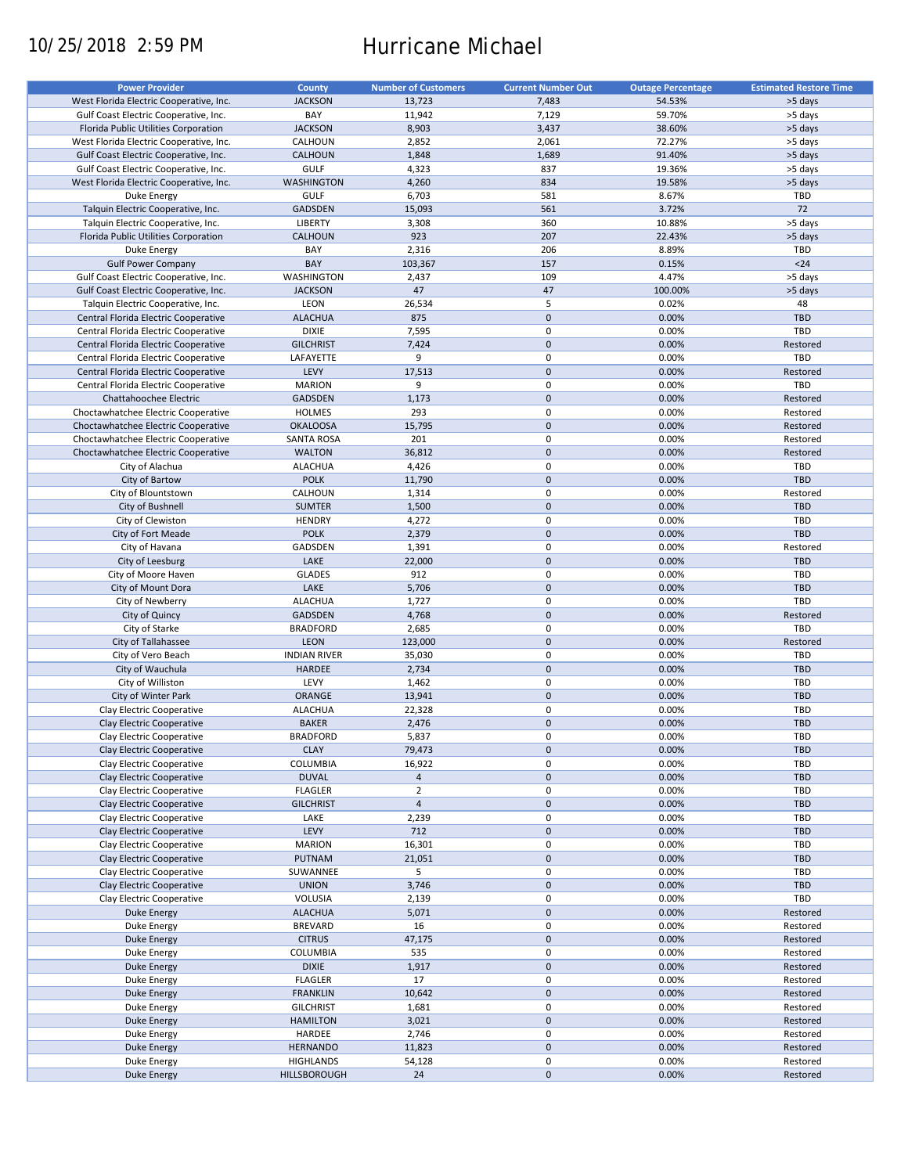# 10/25/2018 2:59 PM Hurricane Michael

| <b>Power Provider</b>                   | <b>County</b>       | <b>Number of Customers</b> | <b>Current Number Out</b> |                          | <b>Estimated Restore Time</b> |
|-----------------------------------------|---------------------|----------------------------|---------------------------|--------------------------|-------------------------------|
|                                         |                     |                            |                           | <b>Outage Percentage</b> |                               |
| West Florida Electric Cooperative, Inc. | <b>JACKSON</b>      | 13,723                     | 7,483                     | 54.53%                   | >5 days                       |
| Gulf Coast Electric Cooperative, Inc.   | BAY                 | 11,942                     | 7,129                     | 59.70%                   | >5 days                       |
| Florida Public Utilities Corporation    | <b>JACKSON</b>      | 8,903                      | 3,437                     | 38.60%                   | >5 days                       |
| West Florida Electric Cooperative, Inc. | CALHOUN             | 2,852                      | 2,061                     | 72.27%                   | >5 days                       |
| Gulf Coast Electric Cooperative, Inc.   | <b>CALHOUN</b>      | 1,848                      | 1,689                     | 91.40%                   | >5 days                       |
|                                         |                     |                            | 837                       |                          |                               |
| Gulf Coast Electric Cooperative, Inc.   | <b>GULF</b>         | 4,323                      |                           | 19.36%                   | >5 days                       |
| West Florida Electric Cooperative, Inc. | <b>WASHINGTON</b>   | 4,260                      | 834                       | 19.58%                   | >5 days                       |
| Duke Energy                             | <b>GULF</b>         | 6,703                      | 581                       | 8.67%                    | TBD                           |
| Talquin Electric Cooperative, Inc.      | GADSDEN             | 15,093                     | 561                       | 3.72%                    | 72                            |
| Talquin Electric Cooperative, Inc.      | <b>LIBERTY</b>      | 3,308                      | 360                       | 10.88%                   | >5 days                       |
| Florida Public Utilities Corporation    | <b>CALHOUN</b>      | 923                        | 207                       | 22.43%                   | >5 days                       |
| Duke Energy                             | BAY                 | 2,316                      | 206                       | 8.89%                    | TBD                           |
| <b>Gulf Power Company</b>               | BAY                 | 103,367                    | 157                       | 0.15%                    | $24$                          |
|                                         |                     |                            |                           |                          |                               |
| Gulf Coast Electric Cooperative, Inc.   | WASHINGTON          | 2,437                      | 109                       | 4.47%                    | >5 days                       |
| Gulf Coast Electric Cooperative, Inc.   | <b>JACKSON</b>      | 47                         | 47                        | 100.00%                  | >5 days                       |
| Talquin Electric Cooperative, Inc.      | LEON                | 26,534                     | 5                         | 0.02%                    | 48                            |
| Central Florida Electric Cooperative    | <b>ALACHUA</b>      | 875                        | $\mathbf 0$               | 0.00%                    | <b>TBD</b>                    |
| Central Florida Electric Cooperative    | <b>DIXIE</b>        | 7,595                      | $\pmb{0}$                 | 0.00%                    | <b>TBD</b>                    |
| Central Florida Electric Cooperative    | <b>GILCHRIST</b>    | 7,424                      | $\mathbf 0$               | 0.00%                    | Restored                      |
|                                         | LAFAYETTE           | 9                          | $\pmb{0}$                 | 0.00%                    | TBD                           |
| Central Florida Electric Cooperative    |                     |                            |                           |                          |                               |
| Central Florida Electric Cooperative    | LEVY                | 17,513                     | $\mathbf 0$               | 0.00%                    | Restored                      |
| Central Florida Electric Cooperative    | <b>MARION</b>       | 9                          | $\mathbf 0$               | 0.00%                    | TBD                           |
| Chattahoochee Electric                  | <b>GADSDEN</b>      | 1,173                      | $\mathbf 0$               | 0.00%                    | Restored                      |
| Choctawhatchee Electric Cooperative     | <b>HOLMES</b>       | 293                        | $\mathbf 0$               | 0.00%                    | Restored                      |
| Choctawhatchee Electric Cooperative     | <b>OKALOOSA</b>     | 15,795                     | $\mathbf 0$               | 0.00%                    | Restored                      |
| Choctawhatchee Electric Cooperative     | <b>SANTA ROSA</b>   | 201                        | $\pmb{0}$                 | 0.00%                    | Restored                      |
| Choctawhatchee Electric Cooperative     | <b>WALTON</b>       | 36,812                     | $\mathbf 0$               | 0.00%                    | Restored                      |
|                                         |                     |                            | $\pmb{0}$                 |                          |                               |
| City of Alachua                         | <b>ALACHUA</b>      | 4,426                      |                           | 0.00%                    | TBD                           |
| City of Bartow                          | <b>POLK</b>         | 11,790                     | $\mathbf 0$               | 0.00%                    | <b>TBD</b>                    |
| City of Blountstown                     | CALHOUN             | 1,314                      | $\pmb{0}$                 | 0.00%                    | Restored                      |
| City of Bushnell                        | <b>SUMTER</b>       | 1,500                      | $\mathbf 0$               | 0.00%                    | <b>TBD</b>                    |
| City of Clewiston                       | <b>HENDRY</b>       | 4,272                      | 0                         | 0.00%                    | TBD                           |
| City of Fort Meade                      | <b>POLK</b>         | 2,379                      | $\mathbf 0$               | 0.00%                    | <b>TBD</b>                    |
| City of Havana                          | GADSDEN             | 1,391                      | $\pmb{0}$                 | 0.00%                    | Restored                      |
|                                         | LAKE                | 22,000                     | $\mathbf 0$               | 0.00%                    | <b>TBD</b>                    |
| City of Leesburg                        |                     |                            |                           |                          |                               |
| City of Moore Haven                     | <b>GLADES</b>       | 912                        | $\pmb{0}$                 | 0.00%                    | TBD                           |
| City of Mount Dora                      | LAKE                | 5,706                      | $\mathbf 0$               | 0.00%                    | TBD                           |
| City of Newberry                        | <b>ALACHUA</b>      | 1,727                      | $\pmb{0}$                 | 0.00%                    | TBD                           |
| City of Quincy                          | <b>GADSDEN</b>      | 4,768                      | $\mathbf 0$               | 0.00%                    | Restored                      |
| City of Starke                          | <b>BRADFORD</b>     | 2,685                      | $\pmb{0}$                 | 0.00%                    | TBD                           |
| City of Tallahassee                     | <b>LEON</b>         | 123,000                    | $\mathbf 0$               | 0.00%                    | Restored                      |
| City of Vero Beach                      | <b>INDIAN RIVER</b> | 35,030                     | $\pmb{0}$                 | 0.00%                    | <b>TBD</b>                    |
| City of Wauchula                        | <b>HARDEE</b>       | 2,734                      | $\mathbf 0$               | 0.00%                    | <b>TBD</b>                    |
|                                         |                     |                            |                           |                          |                               |
| City of Williston                       | LEVY                | 1,462                      | 0                         | 0.00%                    | <b>TBD</b>                    |
| City of Winter Park                     | <b>ORANGE</b>       | 13,941                     | $\mathbf 0$               | 0.00%                    | <b>TBD</b>                    |
| Clay Electric Cooperative               | <b>ALACHUA</b>      | 22,328                     | $\pmb{0}$                 | 0.00%                    | <b>TBD</b>                    |
| Clay Electric Cooperative               | <b>BAKER</b>        | 2,476                      | $\mathbf 0$               | 0.00%                    | <b>TBD</b>                    |
| Clay Electric Cooperative               | <b>BRADFORD</b>     | 5,837                      | $\mathbf 0$               | 0.00%                    | TBD                           |
| Clay Electric Cooperative               | <b>CLAY</b>         | 79,473                     | $\pmb{0}$                 | 0.00%                    | <b>TBD</b>                    |
| Clay Electric Cooperative               | <b>COLUMBIA</b>     | 16,922                     | 0                         | 0.00%                    | TBD                           |
|                                         |                     |                            |                           |                          |                               |
| Clay Electric Cooperative               | <b>DUVAL</b>        | $\overline{4}$             | $\pmb{0}$                 | 0.00%                    | TBD                           |
| Clay Electric Cooperative               | <b>FLAGLER</b>      | $\overline{2}$             | 0                         | 0.00%                    | TBD                           |
| Clay Electric Cooperative               | <b>GILCHRIST</b>    | $\overline{4}$             | $\mathsf{O}\xspace$       | 0.00%                    | <b>TBD</b>                    |
| Clay Electric Cooperative               | LAKE                | 2,239                      | 0                         | 0.00%                    | TBD                           |
| Clay Electric Cooperative               | LEVY                | 712                        | $\mathsf{O}\xspace$       | 0.00%                    | <b>TBD</b>                    |
| Clay Electric Cooperative               | <b>MARION</b>       | 16,301                     | 0                         | 0.00%                    | TBD                           |
| Clay Electric Cooperative               | PUTNAM              | 21,051                     | $\pmb{0}$                 | 0.00%                    | <b>TBD</b>                    |
| Clay Electric Cooperative               | SUWANNEE            | 5                          | 0                         | 0.00%                    | TBD                           |
|                                         |                     |                            |                           |                          |                               |
| Clay Electric Cooperative               | <b>UNION</b>        | 3,746                      | $\pmb{0}$                 | 0.00%                    | <b>TBD</b>                    |
| Clay Electric Cooperative               | VOLUSIA             | 2,139                      | 0                         | 0.00%                    | TBD                           |
| Duke Energy                             | <b>ALACHUA</b>      | 5,071                      | $\pmb{0}$                 | 0.00%                    | Restored                      |
| Duke Energy                             | <b>BREVARD</b>      | 16                         | $\pmb{0}$                 | 0.00%                    | Restored                      |
| Duke Energy                             | <b>CITRUS</b>       | 47,175                     | $\pmb{0}$                 | 0.00%                    | Restored                      |
| Duke Energy                             | COLUMBIA            | 535                        | $\pmb{0}$                 | 0.00%                    | Restored                      |
| <b>Duke Energy</b>                      | <b>DIXIE</b>        | 1,917                      | $\pmb{0}$                 | 0.00%                    | Restored                      |
| Duke Energy                             | <b>FLAGLER</b>      | 17                         | 0                         | 0.00%                    | Restored                      |
|                                         |                     |                            |                           |                          |                               |
| <b>Duke Energy</b>                      | <b>FRANKLIN</b>     | 10,642                     | $\pmb{0}$                 | 0.00%                    | Restored                      |
| Duke Energy                             | <b>GILCHRIST</b>    | 1,681                      | $\pmb{0}$                 | 0.00%                    | Restored                      |
| <b>Duke Energy</b>                      | <b>HAMILTON</b>     | 3,021                      | $\pmb{0}$                 | 0.00%                    | Restored                      |
| Duke Energy                             | HARDEE              | 2,746                      | 0                         | 0.00%                    | Restored                      |
| <b>Duke Energy</b>                      | <b>HERNANDO</b>     | 11,823                     | $\pmb{0}$                 | 0.00%                    | Restored                      |
| Duke Energy                             | <b>HIGHLANDS</b>    | 54,128                     | 0                         | 0.00%                    | Restored                      |
| Duke Energy                             | HILLSBOROUGH        | 24                         | $\pmb{0}$                 | 0.00%                    | Restored                      |
|                                         |                     |                            |                           |                          |                               |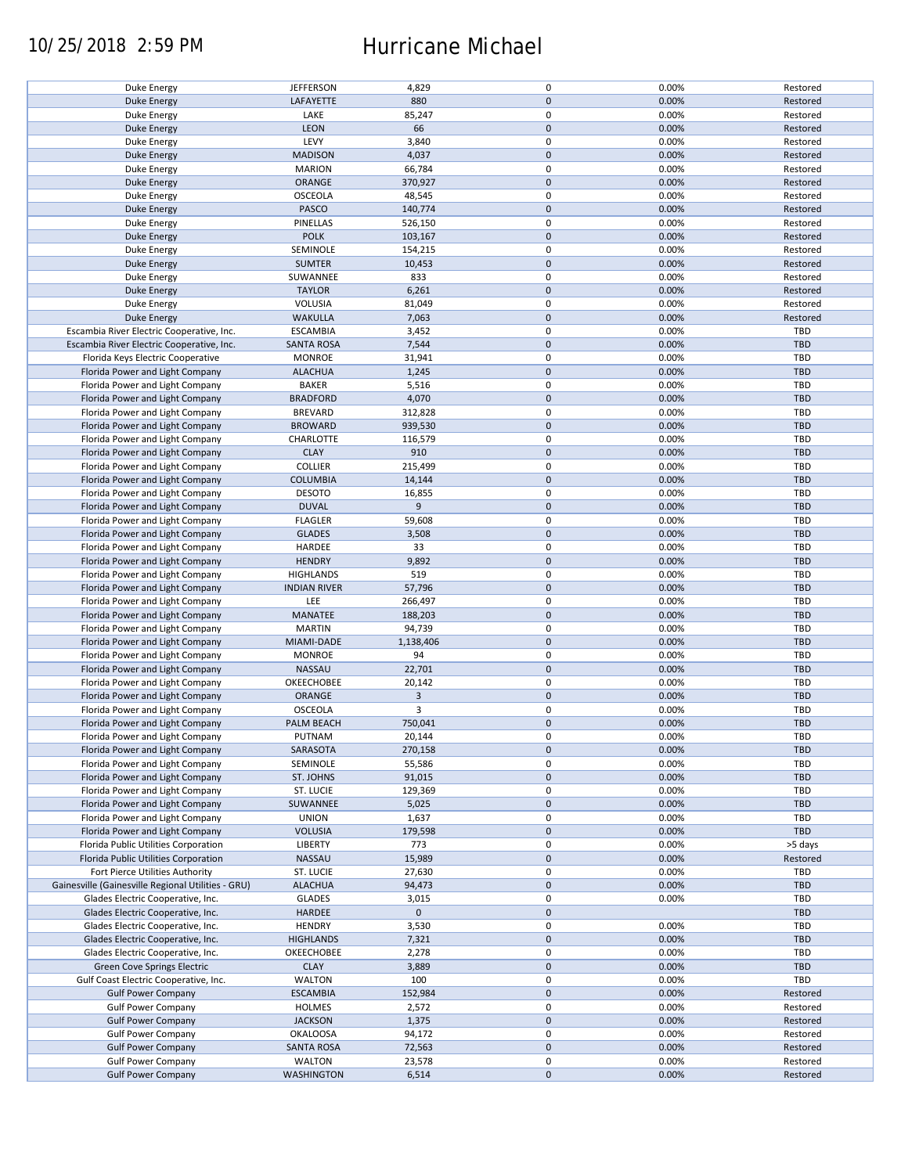### 10/25/2018 2:59 PM Hurricane Michael

| Duke Energy                                        | <b>JEFFERSON</b>    | 4,829          | $\pmb{0}$   | 0.00% | Restored   |
|----------------------------------------------------|---------------------|----------------|-------------|-------|------------|
| <b>Duke Energy</b>                                 | LAFAYETTE           | 880            | $\mathbf 0$ | 0.00% | Restored   |
|                                                    |                     |                |             |       |            |
| Duke Energy                                        | LAKE                | 85,247         | 0           | 0.00% | Restored   |
| <b>Duke Energy</b>                                 | LEON                | 66             | $\mathbf 0$ | 0.00% | Restored   |
|                                                    |                     |                |             |       |            |
| Duke Energy                                        | LEVY                | 3,840          | $\pmb{0}$   | 0.00% | Restored   |
| <b>Duke Energy</b>                                 | <b>MADISON</b>      | 4,037          | $\mathbf 0$ | 0.00% | Restored   |
| Duke Energy                                        | <b>MARION</b>       | 66,784         | 0           | 0.00% | Restored   |
|                                                    |                     |                |             |       |            |
| <b>Duke Energy</b>                                 | ORANGE              | 370,927        | $\mathbf 0$ | 0.00% | Restored   |
| Duke Energy                                        | <b>OSCEOLA</b>      | 48,545         | 0           | 0.00% | Restored   |
| <b>Duke Energy</b>                                 | PASCO               | 140,774        | $\mathbf 0$ | 0.00% | Restored   |
|                                                    |                     |                |             |       |            |
| Duke Energy                                        | PINELLAS            | 526,150        | 0           | 0.00% | Restored   |
| <b>Duke Energy</b>                                 | <b>POLK</b>         | 103,167        | $\mathbf 0$ | 0.00% | Restored   |
| Duke Energy                                        | SEMINOLE            | 154,215        | $\pmb{0}$   | 0.00% | Restored   |
|                                                    |                     |                |             |       |            |
| <b>Duke Energy</b>                                 | <b>SUMTER</b>       | 10,453         | $\mathbf 0$ | 0.00% | Restored   |
| Duke Energy                                        | SUWANNEE            | 833            | 0           | 0.00% | Restored   |
|                                                    |                     |                | $\pmb{0}$   |       |            |
| <b>Duke Energy</b>                                 | <b>TAYLOR</b>       | 6,261          |             | 0.00% | Restored   |
| Duke Energy                                        | VOLUSIA             | 81,049         | $\pmb{0}$   | 0.00% | Restored   |
| <b>Duke Energy</b>                                 | <b>WAKULLA</b>      | 7,063          | $\pmb{0}$   | 0.00% | Restored   |
|                                                    |                     |                |             |       |            |
| Escambia River Electric Cooperative, Inc.          | <b>ESCAMBIA</b>     | 3,452          | $\pmb{0}$   | 0.00% | <b>TBD</b> |
| Escambia River Electric Cooperative, Inc.          | <b>SANTA ROSA</b>   | 7,544          | $\pmb{0}$   | 0.00% | <b>TBD</b> |
| Florida Keys Electric Cooperative                  | <b>MONROE</b>       | 31,941         | $\pmb{0}$   | 0.00% | <b>TBD</b> |
|                                                    |                     |                |             |       |            |
| Florida Power and Light Company                    | <b>ALACHUA</b>      | 1,245          | $\pmb{0}$   | 0.00% | <b>TBD</b> |
| Florida Power and Light Company                    | <b>BAKER</b>        | 5,516          | 0           | 0.00% | <b>TBD</b> |
|                                                    |                     |                |             |       |            |
| Florida Power and Light Company                    | <b>BRADFORD</b>     | 4,070          | $\pmb{0}$   | 0.00% | <b>TBD</b> |
| Florida Power and Light Company                    | <b>BREVARD</b>      | 312,828        | $\pmb{0}$   | 0.00% | TBD        |
| Florida Power and Light Company                    | <b>BROWARD</b>      | 939,530        | $\pmb{0}$   | 0.00% | <b>TBD</b> |
|                                                    |                     |                |             |       |            |
| Florida Power and Light Company                    | CHARLOTTE           | 116,579        | 0           | 0.00% | TBD        |
| Florida Power and Light Company                    | <b>CLAY</b>         | 910            | $\mathbf 0$ | 0.00% | <b>TBD</b> |
| Florida Power and Light Company                    | <b>COLLIER</b>      | 215,499        | $\pmb{0}$   | 0.00% | <b>TBD</b> |
|                                                    |                     |                |             |       |            |
| Florida Power and Light Company                    | <b>COLUMBIA</b>     | 14,144         | $\mathbf 0$ | 0.00% | <b>TBD</b> |
| Florida Power and Light Company                    | <b>DESOTO</b>       | 16,855         | 0           | 0.00% | <b>TBD</b> |
|                                                    | <b>DUVAL</b>        | 9              | $\mathbf 0$ | 0.00% | <b>TBD</b> |
| Florida Power and Light Company                    |                     |                |             |       |            |
| Florida Power and Light Company                    | <b>FLAGLER</b>      | 59,608         | $\pmb{0}$   | 0.00% | TBD        |
| Florida Power and Light Company                    | <b>GLADES</b>       | 3,508          | $\pmb{0}$   | 0.00% | <b>TBD</b> |
|                                                    |                     |                |             |       |            |
| Florida Power and Light Company                    | HARDEE              | 33             | 0           | 0.00% | TBD        |
| Florida Power and Light Company                    | <b>HENDRY</b>       | 9,892          | $\mathbf 0$ | 0.00% | <b>TBD</b> |
| Florida Power and Light Company                    | <b>HIGHLANDS</b>    | 519            | $\pmb{0}$   | 0.00% | TBD        |
|                                                    |                     |                |             |       |            |
| Florida Power and Light Company                    | <b>INDIAN RIVER</b> | 57,796         | $\mathbf 0$ | 0.00% | <b>TBD</b> |
| Florida Power and Light Company                    | LEE                 | 266,497        | $\pmb{0}$   | 0.00% | TBD        |
|                                                    |                     |                |             |       |            |
| Florida Power and Light Company                    | MANATEE             | 188,203        | $\mathbf 0$ | 0.00% | <b>TBD</b> |
| Florida Power and Light Company                    | <b>MARTIN</b>       | 94,739         | $\pmb{0}$   | 0.00% | TBD        |
| Florida Power and Light Company                    | MIAMI-DADE          | 1,138,406      | $\mathbf 0$ | 0.00% | <b>TBD</b> |
|                                                    |                     |                |             |       |            |
| Florida Power and Light Company                    | <b>MONROE</b>       | 94             | $\pmb{0}$   | 0.00% | <b>TBD</b> |
| Florida Power and Light Company                    | NASSAU              | 22,701         | $\mathbf 0$ | 0.00% | <b>TBD</b> |
|                                                    |                     |                | 0           |       | <b>TBD</b> |
| Florida Power and Light Company                    | OKEECHOBEE          | 20,142         |             | 0.00% |            |
| Florida Power and Light Company                    | ORANGE              | $\overline{3}$ | $\mathbf 0$ | 0.00% | <b>TBD</b> |
| Florida Power and Light Company                    | <b>OSCEOLA</b>      | 3              | $\pmb{0}$   | 0.00% | <b>TBD</b> |
|                                                    |                     |                |             |       |            |
| Florida Power and Light Company                    | PALM BEACH          | 750,041        | $\mathbf 0$ | 0.00% | <b>TBD</b> |
| Florida Power and Light Company                    | PUTNAM              | 20,144         | $\mathbf 0$ | 0.00% | TBD        |
| Florida Power and Light Company                    | SARASOTA            | 270,158        | $\mathbf 0$ | 0.00% | <b>TBD</b> |
|                                                    |                     |                |             |       |            |
| Florida Power and Light Company                    | SEMINOLE            | 55,586         | 0           | 0.00% | TBD        |
| Florida Power and Light Company                    | ST. JOHNS           | 91,015         | $\mathbf 0$ | 0.00% | <b>TBD</b> |
|                                                    |                     |                |             |       |            |
| Florida Power and Light Company                    | ST. LUCIE           | 129,369        | 0           | 0.00% | TBD        |
| Florida Power and Light Company                    | SUWANNEE            | 5,025          | $\mathbf 0$ | 0.00% | <b>TBD</b> |
| Florida Power and Light Company                    | <b>UNION</b>        | 1,637          | 0           | 0.00% | TBD        |
|                                                    |                     |                |             |       |            |
| Florida Power and Light Company                    | <b>VOLUSIA</b>      | 179,598        | $\mathbf 0$ | 0.00% | TBD        |
| Florida Public Utilities Corporation               | <b>LIBERTY</b>      | 773            | 0           | 0.00% | >5 days    |
| Florida Public Utilities Corporation               | NASSAU              | 15,989         | $\pmb{0}$   | 0.00% | Restored   |
|                                                    |                     |                |             |       |            |
| Fort Pierce Utilities Authority                    | ST. LUCIE           | 27,630         | 0           | 0.00% | TBD        |
| Gainesville (Gainesville Regional Utilities - GRU) | <b>ALACHUA</b>      | 94,473         | $\mathbf 0$ | 0.00% | <b>TBD</b> |
|                                                    |                     |                | $\pmb{0}$   | 0.00% | TBD        |
| Glades Electric Cooperative, Inc.                  | <b>GLADES</b>       | 3,015          |             |       |            |
| Glades Electric Cooperative, Inc.                  | HARDEE              | $\mathbf 0$    | $\mathbf 0$ |       | <b>TBD</b> |
| Glades Electric Cooperative, Inc.                  | <b>HENDRY</b>       | 3,530          | 0           | 0.00% | TBD        |
|                                                    |                     |                |             |       |            |
| Glades Electric Cooperative, Inc.                  | <b>HIGHLANDS</b>    | 7,321          | $\pmb{0}$   | 0.00% | <b>TBD</b> |
| Glades Electric Cooperative, Inc.                  | OKEECHOBEE          | 2,278          | $\pmb{0}$   | 0.00% | TBD        |
| Green Cove Springs Electric                        | <b>CLAY</b>         | 3,889          | $\pmb{0}$   | 0.00% | <b>TBD</b> |
|                                                    |                     |                |             |       |            |
| Gulf Coast Electric Cooperative, Inc.              | <b>WALTON</b>       | 100            | $\pmb{0}$   | 0.00% | TBD        |
| <b>Gulf Power Company</b>                          | <b>ESCAMBIA</b>     | 152,984        | $\pmb{0}$   | 0.00% | Restored   |
| <b>Gulf Power Company</b>                          | <b>HOLMES</b>       | 2,572          | $\pmb{0}$   | 0.00% | Restored   |
|                                                    |                     |                |             |       |            |
| <b>Gulf Power Company</b>                          | <b>JACKSON</b>      | 1,375          | $\pmb{0}$   | 0.00% | Restored   |
| <b>Gulf Power Company</b>                          | <b>OKALOOSA</b>     | 94,172         | $\pmb{0}$   | 0.00% | Restored   |
|                                                    |                     |                |             |       |            |
| <b>Gulf Power Company</b>                          | <b>SANTA ROSA</b>   | 72,563         | $\pmb{0}$   | 0.00% | Restored   |
| <b>Gulf Power Company</b>                          | <b>WALTON</b>       | 23,578         | $\pmb{0}$   | 0.00% | Restored   |
| <b>Gulf Power Company</b>                          | <b>WASHINGTON</b>   | 6,514          | $\pmb{0}$   | 0.00% | Restored   |
|                                                    |                     |                |             |       |            |